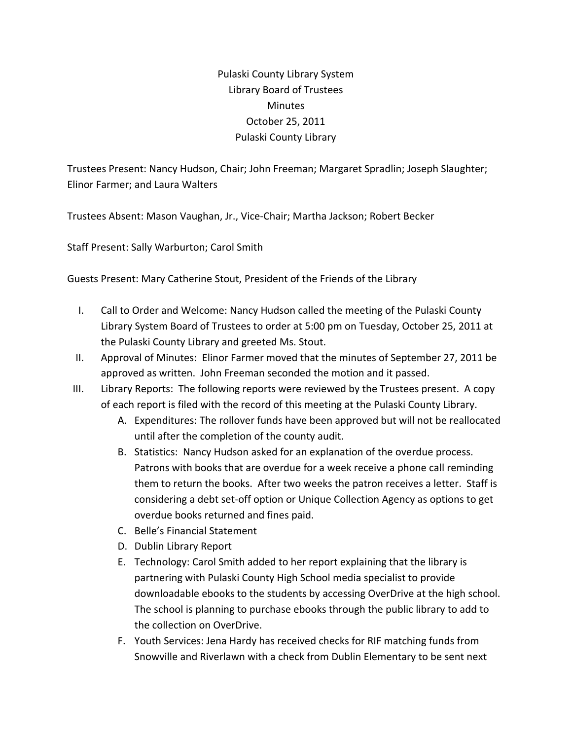Pulaski County Library System Library Board of Trustees Minutes October 25, 2011 Pulaski County Library

Trustees Present: Nancy Hudson, Chair; John Freeman; Margaret Spradlin; Joseph Slaughter; Elinor Farmer; and Laura Walters

Trustees Absent: Mason Vaughan, Jr., Vice‐Chair; Martha Jackson; Robert Becker

Staff Present: Sally Warburton; Carol Smith

Guests Present: Mary Catherine Stout, President of the Friends of the Library

- I. Call to Order and Welcome: Nancy Hudson called the meeting of the Pulaski County Library System Board of Trustees to order at 5:00 pm on Tuesday, October 25, 2011 at the Pulaski County Library and greeted Ms. Stout.
- II. Approval of Minutes: Elinor Farmer moved that the minutes of September 27, 2011 be approved as written. John Freeman seconded the motion and it passed.
- III. Library Reports: The following reports were reviewed by the Trustees present. A copy of each report is filed with the record of this meeting at the Pulaski County Library.
	- A. Expenditures: The rollover funds have been approved but will not be reallocated until after the completion of the county audit.
	- B. Statistics: Nancy Hudson asked for an explanation of the overdue process. Patrons with books that are overdue for a week receive a phone call reminding them to return the books. After two weeks the patron receives a letter. Staff is considering a debt set‐off option or Unique Collection Agency as options to get overdue books returned and fines paid.
	- C. Belle's Financial Statement
	- D. Dublin Library Report
	- E. Technology: Carol Smith added to her report explaining that the library is partnering with Pulaski County High School media specialist to provide downloadable ebooks to the students by accessing OverDrive at the high school. The school is planning to purchase ebooks through the public library to add to the collection on OverDrive.
	- F. Youth Services: Jena Hardy has received checks for RIF matching funds from Snowville and Riverlawn with a check from Dublin Elementary to be sent next